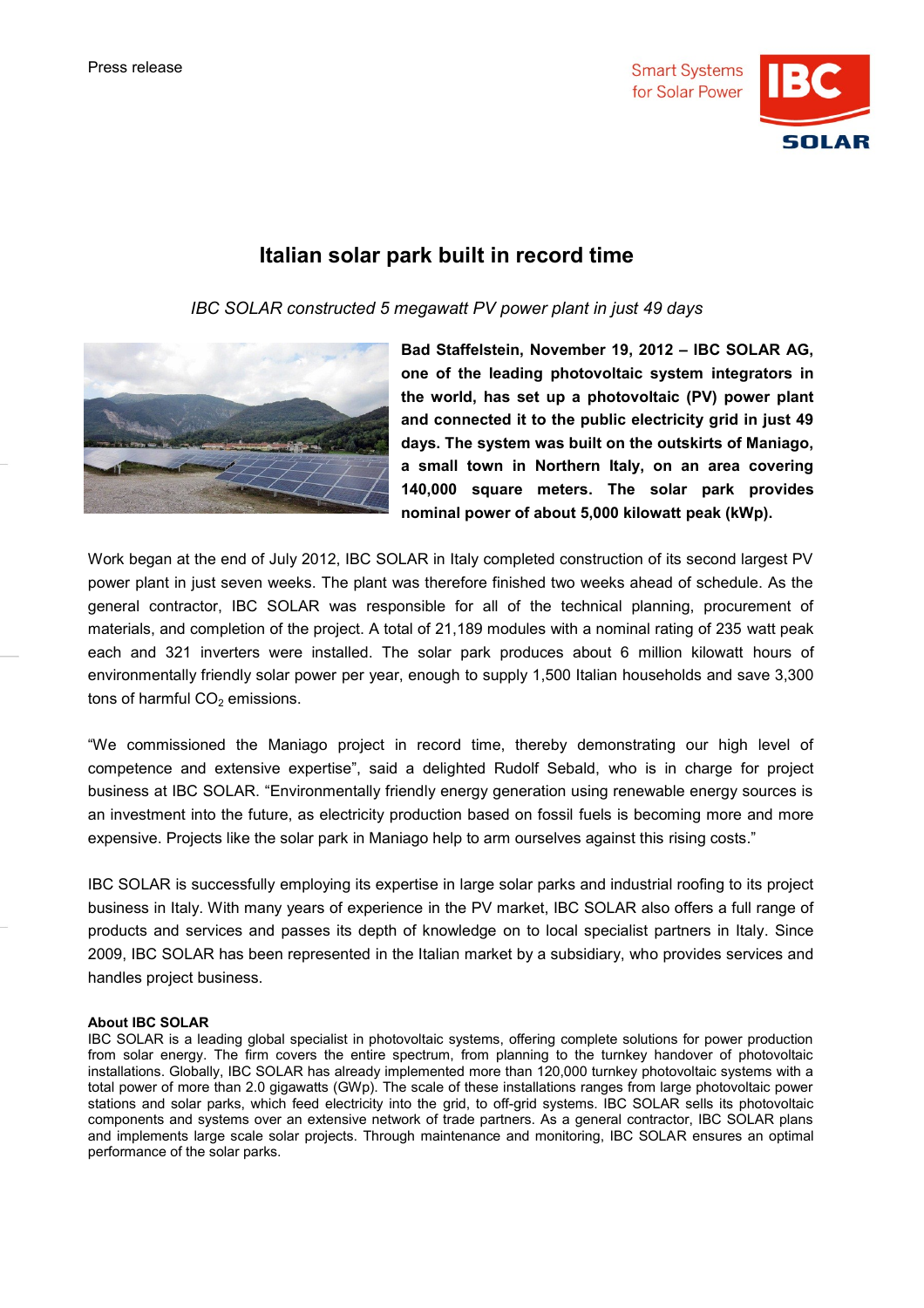

## **Italian solar park built in record time**

*IBC SOLAR constructed 5 megawatt PV power plant in just 49 days*



**Bad Staffelstein, November 19, 2012 – IBC SOLAR AG, one of the leading photovoltaic system integrators in the world, has set up a photovoltaic (PV) power plant and connected it to the public electricity grid in just 49 days. The system was built on the outskirts of Maniago, a small town in Northern Italy, on an area covering 140,000 square meters. The solar park provides nominal power of about 5,000 kilowatt peak (kWp).**

Work began at the end of July 2012, IBC SOLAR in Italy completed construction of its second largest PV power plant in just seven weeks. The plant was therefore finished two weeks ahead of schedule. As the general contractor, IBC SOLAR was responsible for all of the technical planning, procurement of materials, and completion of the project. A total of 21,189 modules with a nominal rating of 235 watt peak each and 321 inverters were installed. The solar park produces about 6 million kilowatt hours of environmentally friendly solar power per year, enough to supply 1,500 Italian households and save 3,300 tons of harmful  $CO<sub>2</sub>$  emissions.

"We commissioned the Maniago project in record time, thereby demonstrating our high level of competence and extensive expertise", said a delighted Rudolf Sebald, who is in charge for project business at IBC SOLAR. "Environmentally friendly energy generation using renewable energy sources is an investment into the future, as electricity production based on fossil fuels is becoming more and more expensive. Projects like the solar park in Maniago help to arm ourselves against this rising costs."

IBC SOLAR is successfully employing its expertise in large solar parks and industrial roofing to its project business in Italy. With many years of experience in the PV market, IBC SOLAR also offers a full range of products and services and passes its depth of knowledge on to local specialist partners in Italy. Since 2009, IBC SOLAR has been represented in the Italian market by a subsidiary, who provides services and handles project business.

## **About IBC SOLAR**

IBC SOLAR is a leading global specialist in photovoltaic systems, offering complete solutions for power production from solar energy. The firm covers the entire spectrum, from planning to the turnkey handover of photovoltaic installations. Globally, IBC SOLAR has already implemented more than 120,000 turnkey photovoltaic systems with a total power of more than 2.0 gigawatts (GWp). The scale of these installations ranges from large photovoltaic power stations and solar parks, which feed electricity into the grid, to off-grid systems. IBC SOLAR sells its photovoltaic components and systems over an extensive network of trade partners. As a general contractor, IBC SOLAR plans and implements large scale solar projects. Through maintenance and monitoring, IBC SOLAR ensures an optimal performance of the solar parks.